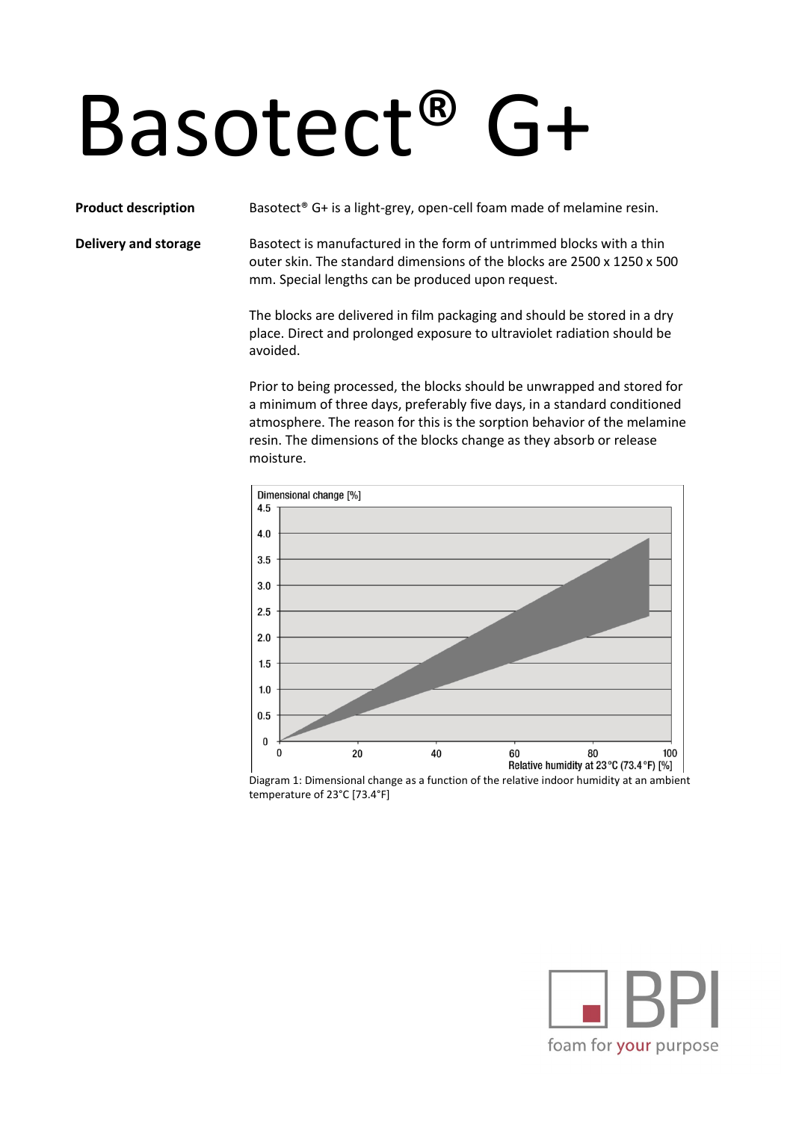## Basotect® G+

**Product description** Basotect<sup>®</sup> G+ is a light-grey, open-cell foam made of melamine resin.

**Delivery and storage** Basotect is manufactured in the form of untrimmed blocks with a thin outer skin. The standard dimensions of the blocks are 2500 x 1250 x 500 mm. Special lengths can be produced upon request.

> The blocks are delivered in film packaging and should be stored in a dry place. Direct and prolonged exposure to ultraviolet radiation should be avoided.

Prior to being processed, the blocks should be unwrapped and stored for a minimum of three days, preferably five days, in a standard conditioned atmosphere. The reason for this is the sorption behavior of the melamine resin. The dimensions of the blocks change as they absorb or release moisture.



Diagram 1: Dimensional change as a function of the relative indoor humidity at an ambient temperature of 23°C [73.4°F]

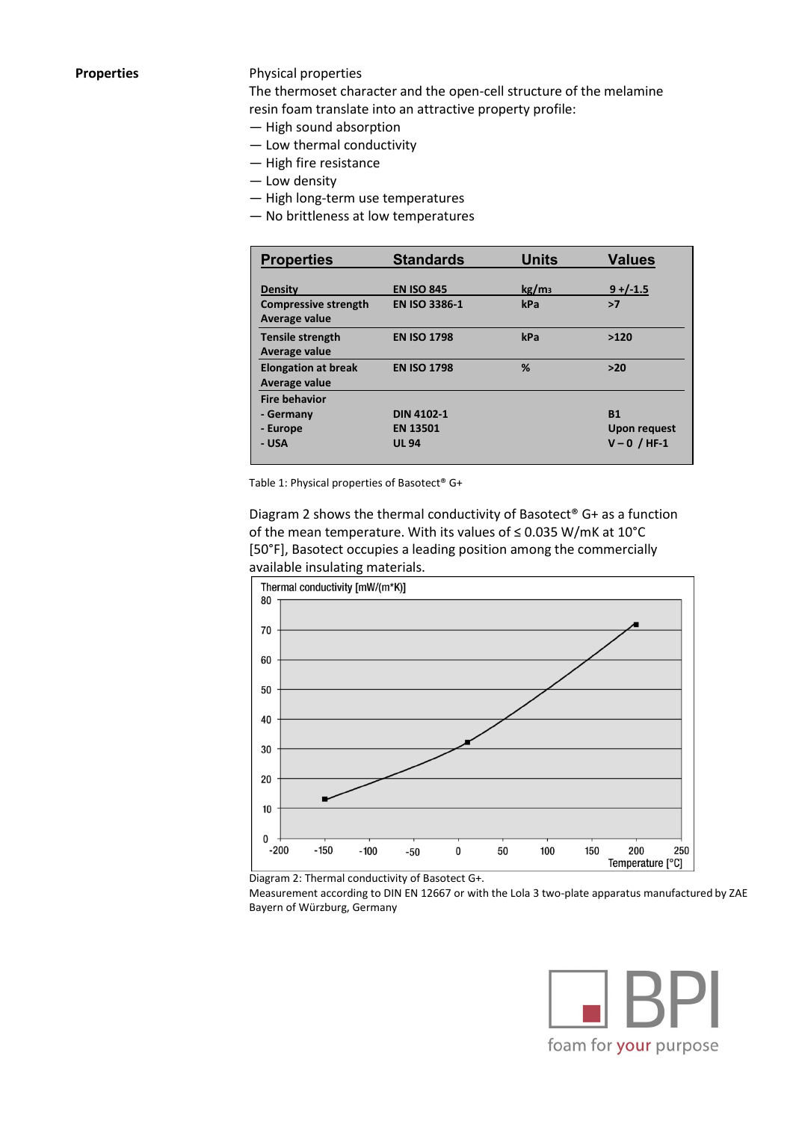## **Properties** Physical properties

The thermoset character and the open-cell structure of the melamine resin foam translate into an attractive property profile:

- High sound absorption
- Low thermal conductivity
- High fire resistance
- Low density
- High long-term use temperatures
- No brittleness at low temperatures

| <b>Properties</b>                            | <b>Standards</b>     | <b>Units</b>      | <b>Values</b>       |
|----------------------------------------------|----------------------|-------------------|---------------------|
| <b>Density</b>                               | <b>EN ISO 845</b>    | kg/m <sub>3</sub> | $9 + (-1.5)$        |
| <b>Compressive strength</b><br>Average value | <b>EN ISO 3386-1</b> | kPa               | >7                  |
| <b>Tensile strength</b><br>Average value     | <b>EN ISO 1798</b>   | kPa               | >120                |
| <b>Elongation at break</b><br>Average value  | <b>EN ISO 1798</b>   | %                 | $>20$               |
| <b>Fire behavior</b>                         |                      |                   |                     |
| - Germany                                    | <b>DIN 4102-1</b>    |                   | <b>B1</b>           |
| - Europe                                     | <b>EN 13501</b>      |                   | <b>Upon request</b> |
| - USA                                        | <b>UL 94</b>         |                   | $V - 0 / HF - 1$    |

Table 1: Physical properties of Basotect® G+

Diagram 2 shows the thermal conductivity of Basotect® G+ as a function of the mean temperature. With its values of ≤ 0.035 W/mK at 10°C [50°F], Basotect occupies a leading position among the commercially available insulating materials.





Measurement according to DIN EN 12667 or with the Lola 3 two-plate apparatus manufactured by ZAE Bayern of Würzburg, Germany

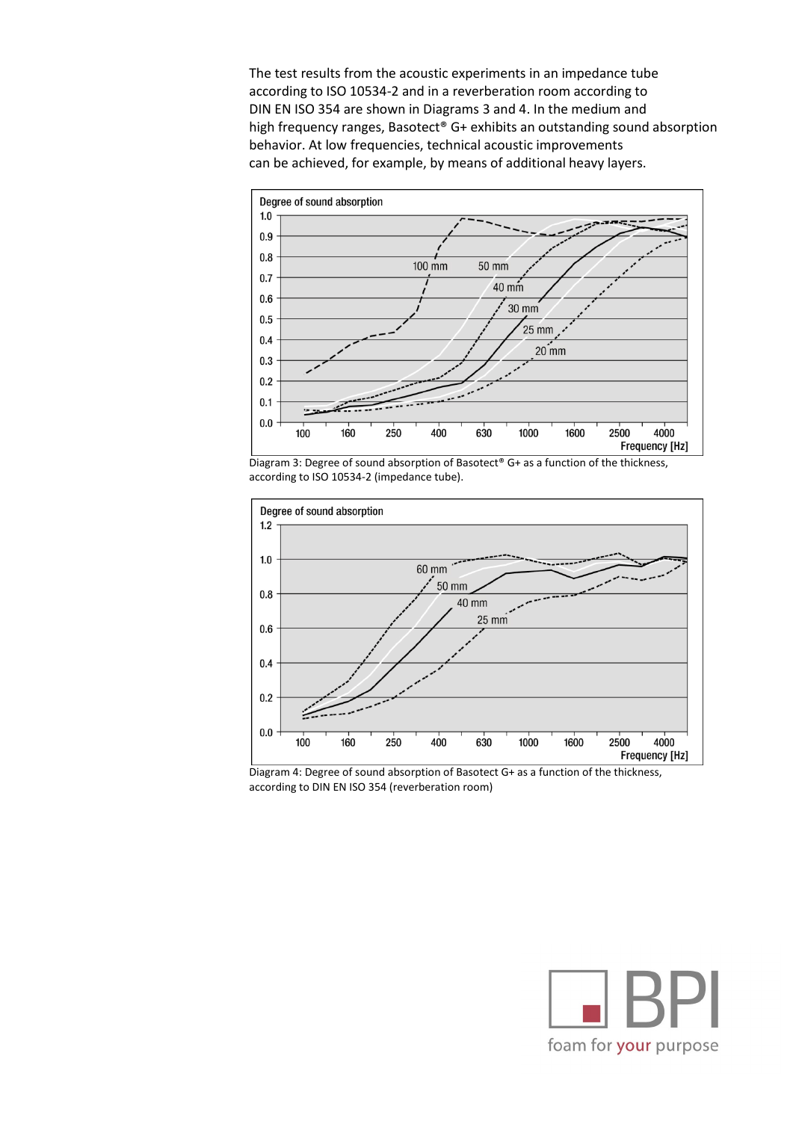The test results from the acoustic experiments in an impedance tube according to ISO 10534-2 and in a reverberation room according to DIN EN ISO 354 are shown in Diagrams 3 and 4. In the medium and high frequency ranges, Basotect® G+ exhibits an outstanding sound absorption behavior. At low frequencies, technical acoustic improvements can be achieved, for example, by means of additional heavy layers.







Diagram 4: Degree of sound absorption of Basotect G+ as a function of the thickness, according to DIN EN ISO 354 (reverberation room)

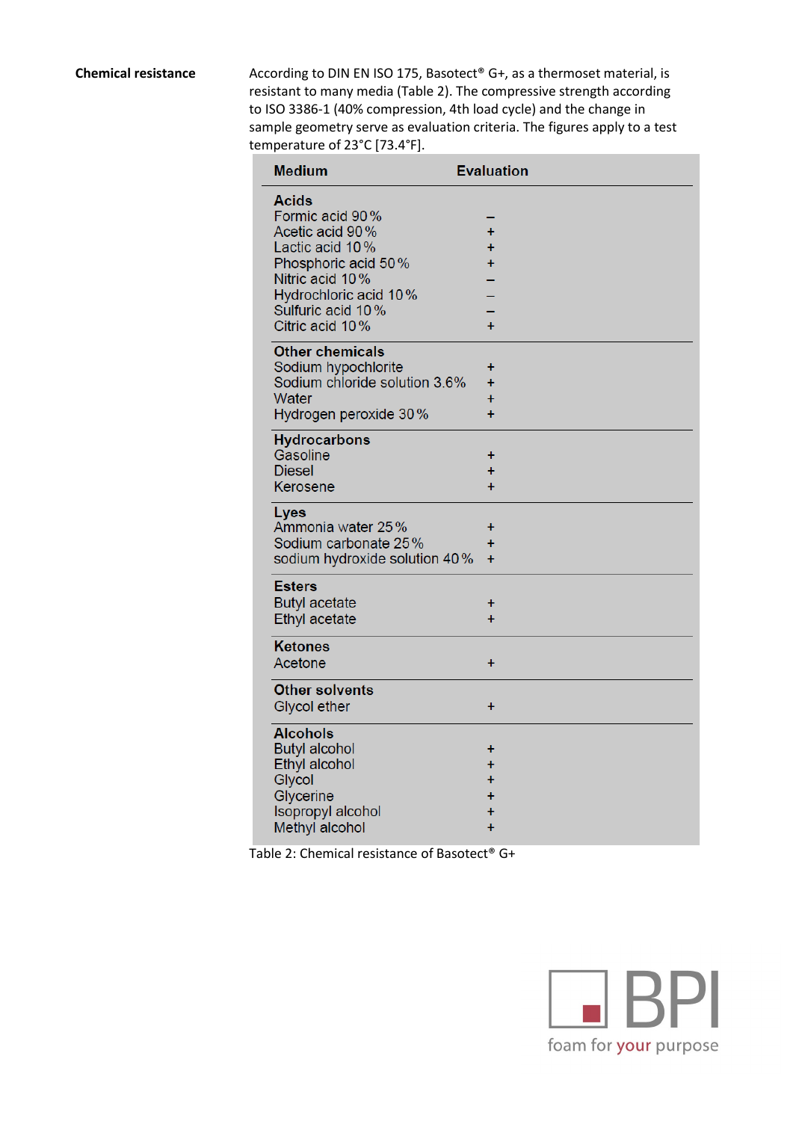**Chemical resistance** According to DIN EN ISO 175, Basotect<sup>®</sup> G+, as a thermoset material, is resistant to many media (Table 2). The compressive strength according to ISO 3386-1 (40% compression, 4th load cycle) and the change in sample geometry serve as evaluation criteria. The figures apply to a test temperature of 23°C [73.4°F].

| <b>Medium</b>                                         | <b>Evaluation</b>      |
|-------------------------------------------------------|------------------------|
| <b>Acids</b>                                          |                        |
| Formic acid 90%                                       |                        |
| Acetic acid 90%                                       | Ŧ                      |
| Lactic acid 10%                                       | Ŧ                      |
| Phosphoric acid 50%                                   | Ŧ                      |
| Nitric acid 10%<br>Hydrochloric acid 10%              |                        |
| Sulfuric acid 10%                                     |                        |
| Citric acid 10%                                       | $+$                    |
| <b>Other chemicals</b>                                |                        |
| Sodium hypochlorite                                   | +                      |
| Sodium chloride solution 3.6%                         | $\ddot{}$              |
| Water                                                 | $\ddot{}$              |
| Hydrogen peroxide 30%                                 | $\ddot{}$              |
| <b>Hydrocarbons</b>                                   |                        |
| Gasoline                                              | $\pmb{+}$              |
| <b>Diesel</b>                                         | $\pm$                  |
| Kerosene                                              | $+$                    |
| Lyes                                                  |                        |
| Ammonia water 25%                                     | ÷                      |
| Sodium carbonate 25%<br>sodium hydroxide solution 40% | +<br>$\ddot{}$         |
|                                                       |                        |
| <b>Esters</b>                                         |                        |
| <b>Butyl acetate</b>                                  | +                      |
| Ethyl acetate                                         | $\ddot{}$              |
| <b>Ketones</b>                                        |                        |
| Acetone                                               | $\ddot{}$              |
| <b>Other solvents</b>                                 |                        |
| <b>Glycol ether</b>                                   | $\ddot{}$              |
| <b>Alcohols</b>                                       |                        |
| <b>Butyl alcohol</b>                                  | +                      |
| Ethyl alcohol                                         | $\ddot{}$              |
| Glycol                                                | $\ddot{}$              |
| Glycerine                                             | $\ddot{}$<br>$\ddot{}$ |
| <b>Isopropyl alcohol</b><br>Methyl alcohol            | $\ddot{}$              |
|                                                       |                        |

Table 2: Chemical resistance of Basotect<sup>®</sup> G+